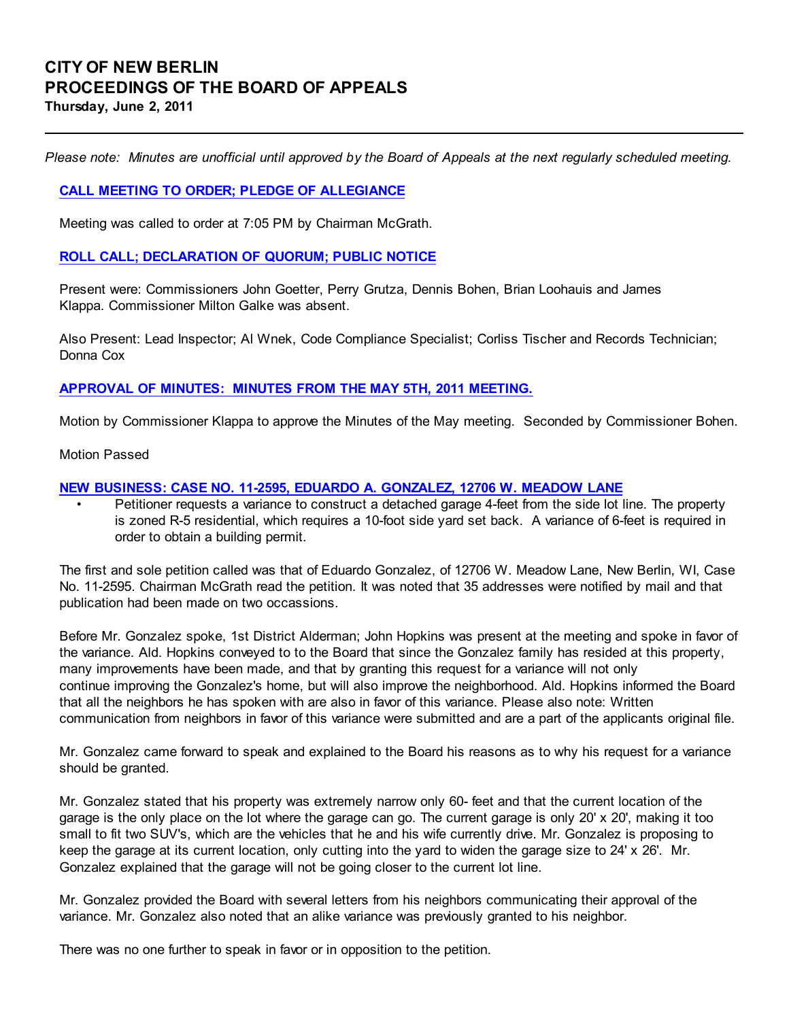Please note: Minutes are unofficial until approved by the Board of Appeals at the next regularly scheduled meeting.

## CALL MEETING TO ORDER; PLEDGE OF ALLEGIANCE

Meeting was called to order at 7:05 PM by Chairman McGrath.

### ROLL CALL; DECLARATION OF QUORUM; PUBLIC NOTICE

Present were: Commissioners John Goetter, Perry Grutza, Dennis Bohen, Brian Loohauis and James Klappa. Commissioner Milton Galke was absent.

Also Present: Lead Inspector; Al Wnek, Code Compliance Specialist; Corliss Tischer and Records Technician; Donna Cox

## APPROVAL OF MINUTES: MINUTES FROM THE MAY 5TH, 2011 MEETING.

Motion by Commissioner Klappa to approve the Minutes of the May meeting. Seconded by Commissioner Bohen.

Motion Passed

### NEW BUSINESS: CASE NO. 11-2595, EDUARDO A. GONZALEZ, 12706 W. MEADOW LANE

• Petitioner requests a variance to construct a detached garage 4-feet from the side lot line. The property is zoned R-5 residential, which requires a 10-foot side yard set back. A variance of 6-feet is required in order to obtain a building permit.

The first and sole petition called was that of Eduardo Gonzalez, of 12706 W. Meadow Lane, New Berlin, WI, Case No. 11-2595. Chairman McGrath read the petition. It was noted that 35 addresses were notified by mail and that publication had been made on two occassions.

Before Mr. Gonzalez spoke, 1st District Alderman; John Hopkins was present at the meeting and spoke in favor of the variance. Ald. Hopkins conveyed to to the Board that since the Gonzalez family has resided at this property, many improvements have been made, and that by granting this request for a variance will not only continue improving the Gonzalez's home, but will also improve the neighborhood. Ald. Hopkins informed the Board that all the neighbors he has spoken with are also in favor of this variance. Please also note: Written communication from neighbors in favor of this variance were submitted and are a part of the applicants original file.

Mr. Gonzalez came forward to speak and explained to the Board his reasons as to why his request for a variance should be granted.

Mr. Gonzalez stated that his property was extremely narrow only 60- feet and that the current location of the garage is the only place on the lot where the garage can go. The current garage is only 20' x 20', making it too small to fit two SUV's, which are the vehicles that he and his wife currently drive. Mr. Gonzalez is proposing to keep the garage at its current location, only cutting into the yard to widen the garage size to 24' x 26'. Mr. Gonzalez explained that the garage will not be going closer to the current lot line.

Mr. Gonzalez provided the Board with several letters from his neighbors communicating their approval of the variance. Mr. Gonzalez also noted that an alike variance was previously granted to his neighbor.

There was no one further to speak in favor or in opposition to the petition.